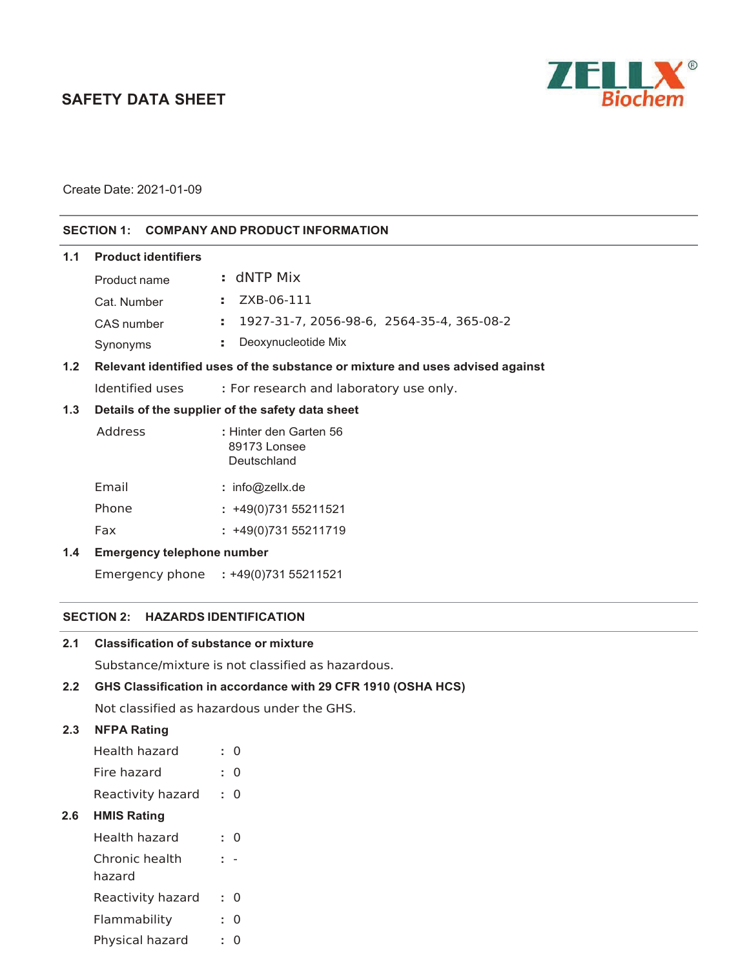# **SAFETY DATA SHEET**



Create Date: 2021-01-09

# **SECTION 1: COMPANY AND PRODUCT INFORMATION**

| 1.1           | <b>Product identifiers</b>                                                    |                                                       |
|---------------|-------------------------------------------------------------------------------|-------------------------------------------------------|
|               | Product name                                                                  | $: dNTP$ Mix                                          |
|               | Cat. Number                                                                   | ZXB-06-111<br>÷                                       |
|               | CAS number                                                                    | 1927-31-7, 2056-98-6, 2564-35-4, 365-08-2<br>÷.       |
|               | Synonyms                                                                      | Deoxynucleotide Mix<br>÷.                             |
| 1.2           | Relevant identified uses of the substance or mixture and uses advised against |                                                       |
|               | Identified uses                                                               | : For research and laboratory use only.               |
| 1.3           | Details of the supplier of the safety data sheet                              |                                                       |
|               | Address                                                                       | : Hinter den Garten 56<br>89173 Lonsee<br>Deutschland |
|               | Email                                                                         | : $info@zelX.de$                                      |
|               | Phone                                                                         | $: +49(0)73155211521$                                 |
|               | Fax                                                                           | $: +49(0)73155211719$                                 |
| $1.4^{\circ}$ | <b>Emergency telephone number</b>                                             |                                                       |
|               | Emergency phone                                                               | $: +49(0)73155211521$                                 |

#### **SECTION 2: HAZARDS IDENTIFICATION**

Substance/mixture is not classified as hazardous.

# **2.2 GHS Classification in accordance with 29 CFR 1910 (OSHA HCS)**

Not classified as hazardous under the GHS.

# **2.3 NFPA Rating**

|     | Health hazard            |    | O        |  |
|-----|--------------------------|----|----------|--|
|     | Fire hazard              | ۰. | $\Omega$ |  |
|     | Reactivity hazard        | ÷. | 0        |  |
| 2.6 | <b>HMIS Rating</b>       |    |          |  |
|     | Health hazard            | t. | Ω        |  |
|     | Chronic health<br>hazard |    |          |  |
|     | Reactivity hazard        | ÷. | 0        |  |
|     | Flammability             | ÷. | 0        |  |
|     | Physical hazard          | ÷  | O        |  |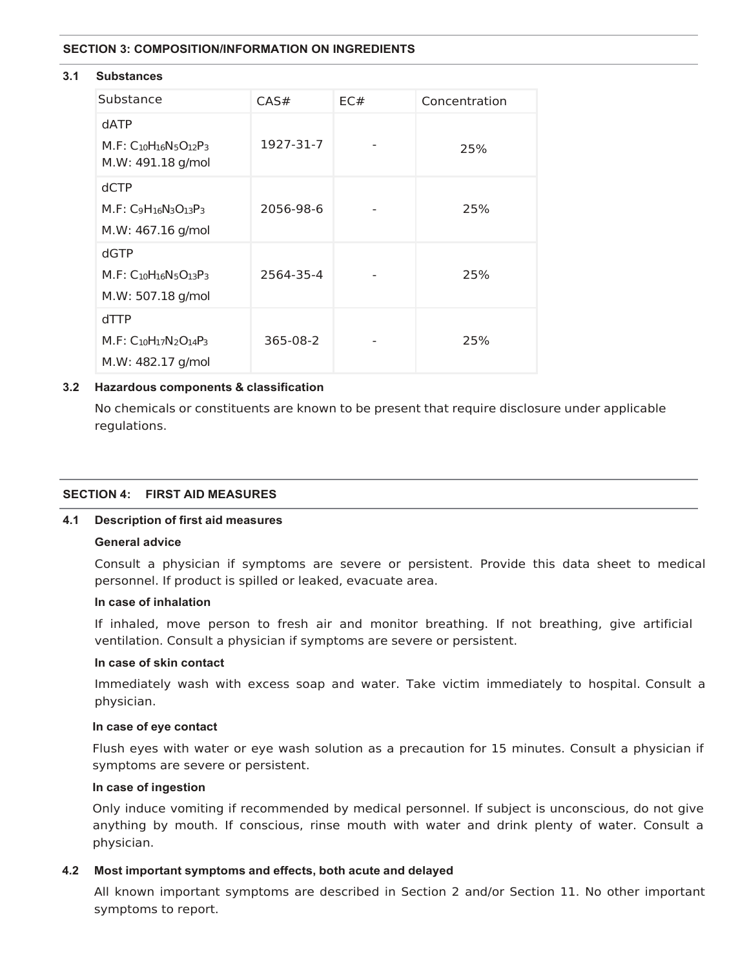#### **SECTION 3: COMPOSITION/INFORMATION ON INGREDIENTS**

#### **3.1 Substances**

| Substance                                                        | CAS#      | EC# | Concentration |
|------------------------------------------------------------------|-----------|-----|---------------|
| dATP<br>$M.F: C_{10}H_{16}N_5O_{12}P_3$<br>M.W: 491.18 g/mol     | 1927-31-7 |     | 25%           |
| <b>dCTP</b><br>$M.F: C_9H_{16}N_3O_{13}P_3$<br>M.W: 467.16 g/mol | 2056-98-6 |     | 25%           |
| dGTP<br>$M.F: C10H16N5O13P3$<br>M.W: 507.18 g/mol                | 2564-35-4 |     | 25%           |
| $d$ TTP<br>$M.F: C10H17N2O14P3$<br>M.W: 482.17 g/mol             | 365-08-2  |     | 25%           |

# **3.2 Hazardous components & classification**

No chemicals or constituents are known to be present that require disclosure under applicable regulations.

### **SECTION 4: FIRST AID MEASURES**

### **4.1 Description of first aid measures**

### **General advice**

Consult a physician if symptoms are severe or persistent. Provide this data sheet to medical personnel. If product is spilled or leaked, evacuate area.

#### **In case of inhalation**

If inhaled, move person to fresh air and monitor breathing. If not breathing, give artificial ventilation. Consult a physician if symptoms are severe or persistent.

# **In case of skin contact**

Immediately wash with excess soap and water. Take victim immediately to hospital. Consult a physician.

#### **In case of eye contact**

Flush eyes with water or eye wash solution as a precaution for 15 minutes. Consult a physician if symptoms are severe or persistent.

#### **In case of ingestion**

Only induce vomiting if recommended by medical personnel. If subject is unconscious, do not give anything by mouth. If conscious, rinse mouth with water and drink plenty of water. Consult a physician.

### **4.2 Most important symptoms and effects, both acute and delayed**

All known important symptoms are described in Section 2 and/or Section 11. No other important symptoms to report.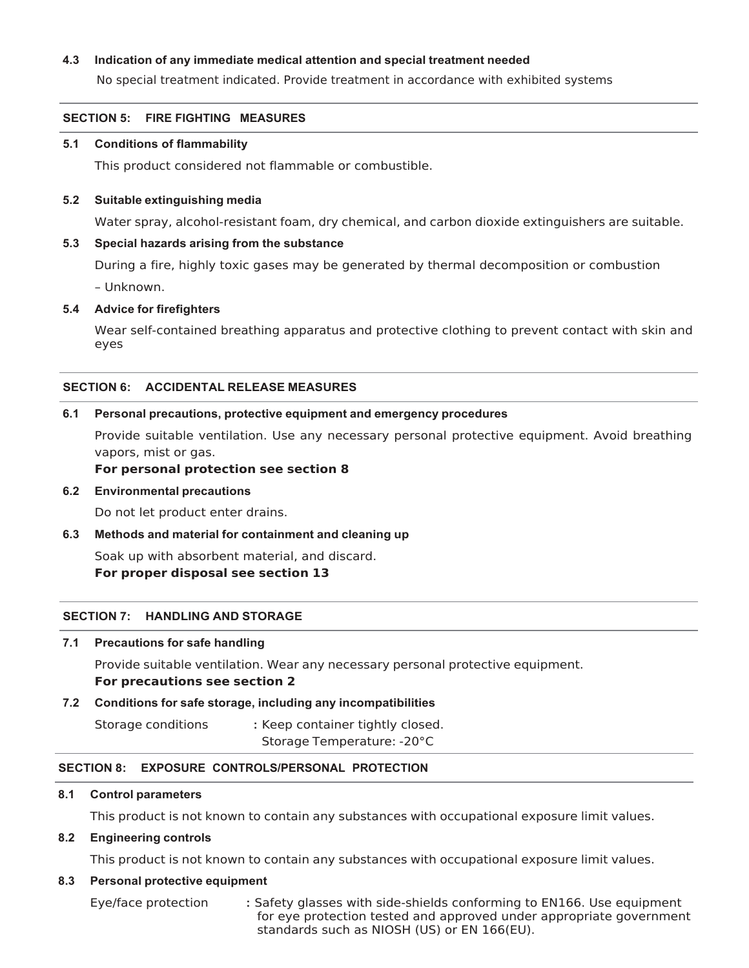# **4.3 Indication of any immediate medical attention and special treatment needed**

No special treatment indicated. Provide treatment in accordance with exhibited systems

### **SECTION 5: FIRE FIGHTING MEASURES**

#### **5.1 Conditions of flammability**

This product considered not flammable or combustible.

#### **5.2 Suitable extinguishing media**

Water spray, alcohol-resistant foam, dry chemical, and carbon dioxide extinguishers are suitable.

### **5.3 Special hazards arising from the substance**

During a fire, highly toxic gases may be generated by thermal decomposition or combustion - Unknown.

**5.4 Advice for firefighters** 

Wear self-contained breathing apparatus and protective clothing to prevent contact with skin and eyes

#### **SECTION 6: ACCIDENTAL RELEASE MEASURES**

#### **6.1 Personal precautions, protective equipment and emergency procedures**

Provide suitable ventilation. Use any necessary personal protective equipment. Avoid breathing vapors, mist or gas.

#### **For personal protection see section 8**

#### **6.2 Environmental precautions**

Do not let product enter drains.

**6.3 Methods and material for containment and cleaning up** 

Soak up with absorbent material, and discard. **For proper disposal see section 13** 

### **SECTION 7: HANDLING AND STORAGE**

#### **7.1 Precautions for safe handling**

Provide suitable ventilation. Wear any necessary personal protective equipment.

#### **For precautions see section 2**

### **7.2 Conditions for safe storage, including any incompatibilities**

Storage conditions : Keep container tightly closed. Storage Temperature: -20°C

### **SECTION 8: EXPOSURE CONTROLS/PERSONAL PROTECTION**

#### **8.1 Control parameters**

This product is not known to contain any substances with occupational exposure limit values.

### **8.2 Engineering controls**

This product is not known to contain any substances with occupational exposure limit values.

#### **8.3 Personal protective equipment**

Eye/face protection : Safety glasses with side-shields conforming to EN166. Use equipment for eve protection tested and approved under appropriate government standards such as NIOSH (US) or EN 166(EU).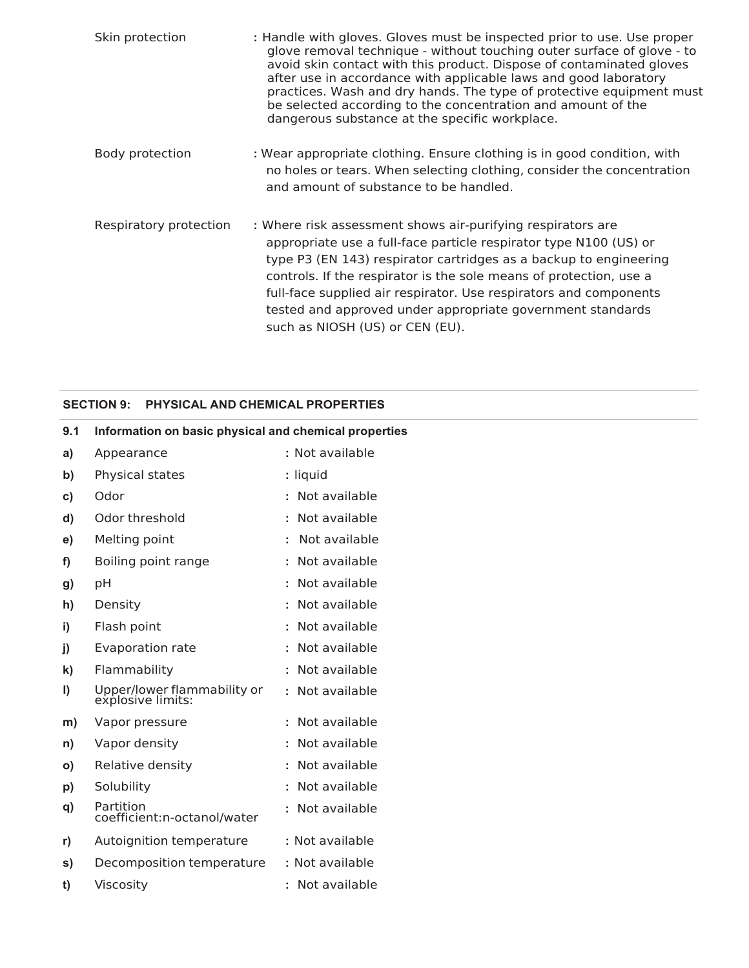| Skin protection        | : Handle with gloves. Gloves must be inspected prior to use. Use proper<br>glove removal technique - without touching outer surface of glove - to<br>avoid skin contact with this product. Dispose of contaminated gloves<br>after use in accordance with applicable laws and good laboratory<br>practices. Wash and dry hands. The type of protective equipment must<br>be selected according to the concentration and amount of the<br>dangerous substance at the specific workplace. |
|------------------------|-----------------------------------------------------------------------------------------------------------------------------------------------------------------------------------------------------------------------------------------------------------------------------------------------------------------------------------------------------------------------------------------------------------------------------------------------------------------------------------------|
| Body protection        | : Wear appropriate clothing. Ensure clothing is in good condition, with<br>no holes or tears. When selecting clothing, consider the concentration<br>and amount of substance to be handled.                                                                                                                                                                                                                                                                                             |
| Respiratory protection | : Where risk assessment shows air-purifying respirators are<br>appropriate use a full-face particle respirator type N100 (US) or<br>type P3 (EN 143) respirator cartridges as a backup to engineering<br>controls. If the respirator is the sole means of protection, use a<br>full-face supplied air respirator. Use respirators and components<br>tested and approved under appropriate government standards<br>such as NIOSH (US) or CEN (EU).                                       |

# **SECTION 9: PHYSICAL AND CHEMICAL PROPERTIES**

| 9.1          | Information on basic physical and chemical properties |                 |
|--------------|-------------------------------------------------------|-----------------|
| a)           | Appearance                                            | : Not available |
| b)           | Physical states                                       | : liquid        |
| C)           | Odor                                                  | : Not available |
| d)           | Odor threshold                                        | : Not available |
| e)           | Melting point                                         | : Not available |
| f)           | Boiling point range                                   | : Not available |
| g)           | pH                                                    | : Not available |
| h)           | Density                                               | : Not available |
| i)           | Flash point                                           | : Not available |
| j)           | Evaporation rate                                      | : Not available |
| k)           | Flammability                                          | : Not available |
| $\vert$      | Upper/lower flammability or<br>explosive limits:      | : Not available |
| m)           | Vapor pressure                                        | : Not available |
| n)           | Vapor density                                         | : Not available |
| $\mathsf{o}$ | Relative density                                      | : Not available |
| p)           | Solubility                                            | : Not available |
| q)           | Partition<br>coefficient:n-octanol/water              | : Not available |
| r)           | Autoignition temperature                              | : Not available |
| S)           | Decomposition temperature                             | : Not available |
| t)           | Viscosity                                             | : Not available |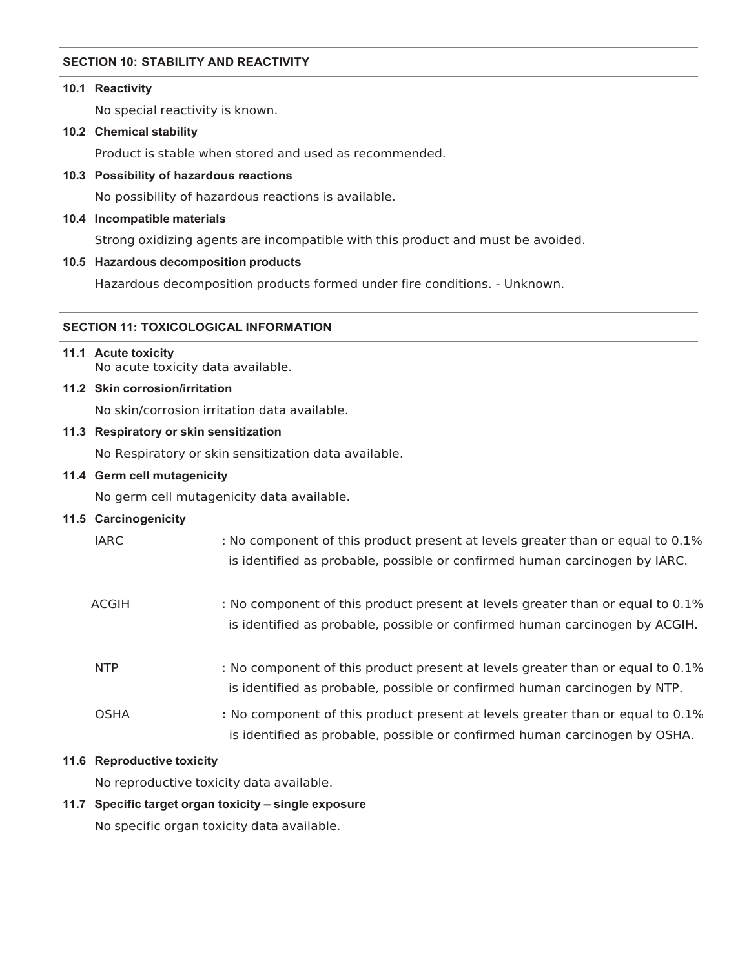### **SECTION 10: STABILITY AND REACTIVITY**

# **10.1 Reactivity**

No special reactivity is known.

# **10.2 Chemical stability**

Product is stable when stored and used as recommended.

# **10.3 Possibility of hazardous reactions**

No possibility of hazardous reactions is available.

# **10.4 Incompatible materials**

Strong oxidizing agents are incompatible with this product and must be avoided.

# **10.5 Hazardous decomposition products**

Hazardous decomposition products formed under fire conditions. - Unknown.

# **SECTION 11: TOXICOLOGICAL INFORMATION**

# **11.1 Acute toxicity**

No acute toxicity data available.

# **11.2 Skin corrosion/irritation**

No skin/corrosion irritation data available.

# **11.3 Respiratory or skin sensitization**

No Respiratory or skin sensitization data available.

# **11.4 Germ cell mutagenicity**

No germ cell mutagenicity data available.

# **11.5 Carcinogenicity**

| <b>IARC</b>  | : No component of this product present at levels greater than or equal to 0.1%<br>is identified as probable, possible or confirmed human carcinogen by IARC.  |
|--------------|---------------------------------------------------------------------------------------------------------------------------------------------------------------|
| <b>ACGIH</b> | : No component of this product present at levels greater than or equal to 0.1%<br>is identified as probable, possible or confirmed human carcinogen by ACGIH. |
| <b>NTP</b>   | : No component of this product present at levels greater than or equal to 0.1%<br>is identified as probable, possible or confirmed human carcinogen by NTP.   |

26 OSHA : No component of this product present at levels greater than or equal to 0.1% is identified as probable, possible or confirmed human carcinogen by OSHA.

# **11.6 Reproductive toxicity**

No reproductive toxicity data available.

# **11.7 Specific target organ toxicity – single exposure**

No specific organ toxicity data available.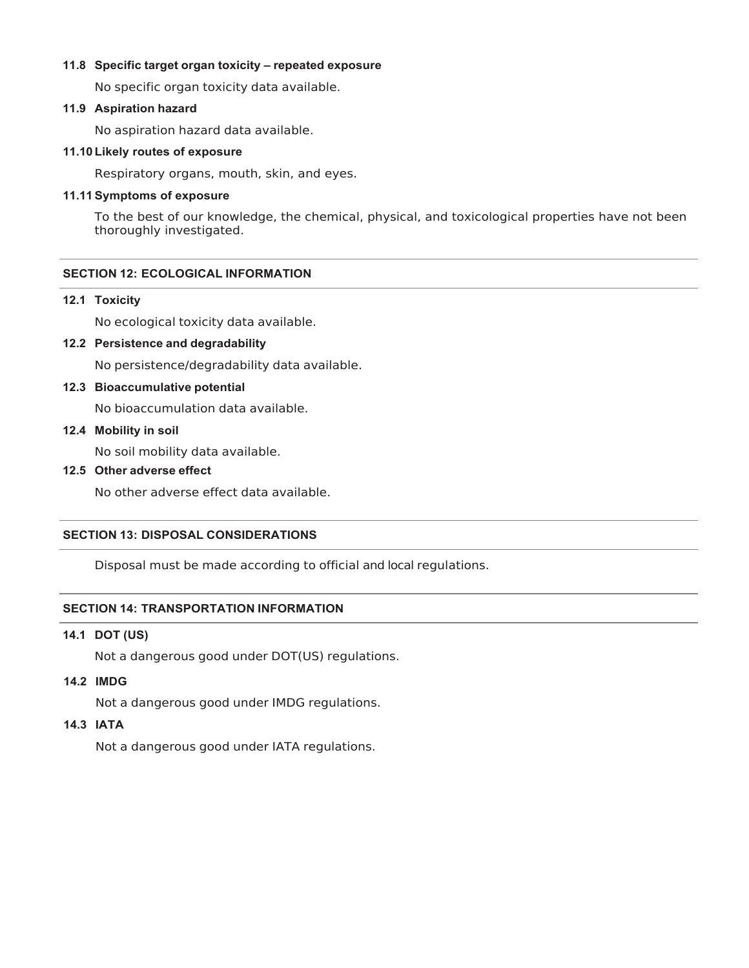# **11.8 Specific target organ toxicity – repeated exposure**

No specific organ toxicity data available.

# **11.9 Aspiration hazard**

No aspiration hazard data available.

# **11.10 Likely routes of exposure**

Respiratory organs, mouth, skin, and eyes.

# **11.11 Symptoms of exposure**

To the best of our knowledge, the chemical, physical, and toxicological properties have not been thoroughly investigated.

# **SECTION 12: ECOLOGICAL INFORMATION**

### **12.1 Toxicity**

No ecological toxicity data available.

# **12.2 Persistence and degradability**

No persistence/degradability data available.

# **12.3 Bioaccumulative potential**

No bioaccumulation data available.

# **12.4 Mobility in soil**

No soil mobility data available.

# **12.5 Other adverse effect**

No other adverse effect data available.

### **SECTION 13: DISPOSAL CONSIDERATIONS**

Disposal must be made according to official and local regulations.

# **SECTION 14: TRANSPORTATION INFORMATION**

# **14.1 DOT (US)**

Not a dangerous good under DOT(US) regulations.

# **14.2 IMDG**

Not a dangerous good under IMDG regulations.

# **14.3 IATA**

Not a dangerous good under IATA regulations.